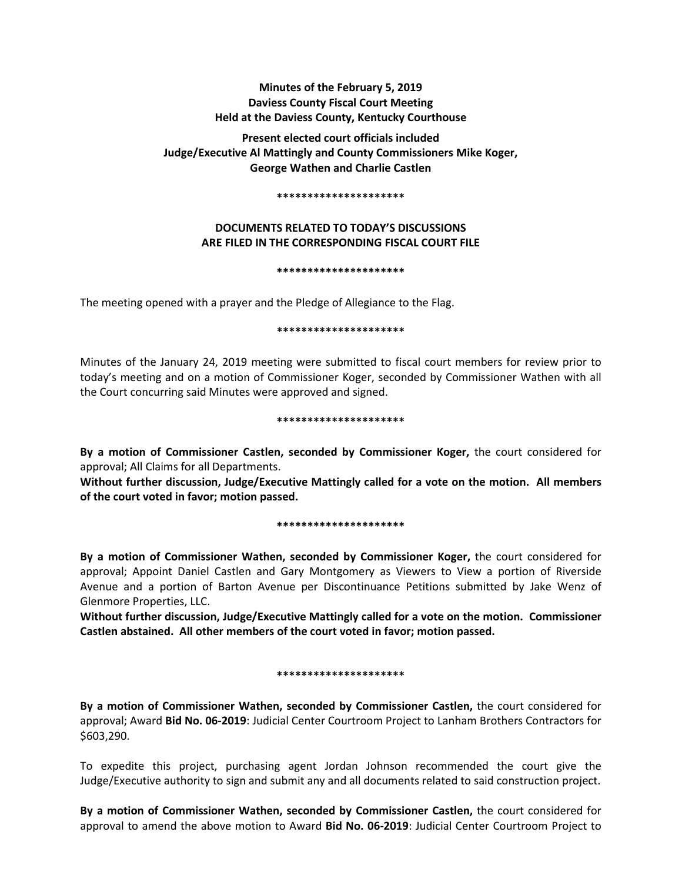# **Minutes of the February 5, 2019 Daviess County Fiscal Court Meeting Held at the Daviess County, Kentucky Courthouse**

**Present elected court officials included Judge/Executive Al Mattingly and County Commissioners Mike Koger, George Wathen and Charlie Castlen** 

#### **\*\*\*\*\*\*\*\*\*\*\*\*\*\*\*\*\*\*\*\*\***

# **DOCUMENTS RELATED TO TODAY'S DISCUSSIONS ARE FILED IN THE CORRESPONDING FISCAL COURT FILE**

### **\*\*\*\*\*\*\*\*\*\*\*\*\*\*\*\*\*\*\*\*\***

The meeting opened with a prayer and the Pledge of Allegiance to the Flag.

### **\*\*\*\*\*\*\*\*\*\*\*\*\*\*\*\*\*\*\*\*\***

Minutes of the January 24, 2019 meeting were submitted to fiscal court members for review prior to today's meeting and on a motion of Commissioner Koger, seconded by Commissioner Wathen with all the Court concurring said Minutes were approved and signed.

### **\*\*\*\*\*\*\*\*\*\*\*\*\*\*\*\*\*\*\*\*\***

**By a motion of Commissioner Castlen, seconded by Commissioner Koger,** the court considered for approval; All Claims for all Departments.

**Without further discussion, Judge/Executive Mattingly called for a vote on the motion. All members of the court voted in favor; motion passed.** 

### **\*\*\*\*\*\*\*\*\*\*\*\*\*\*\*\*\*\*\*\*\***

**By a motion of Commissioner Wathen, seconded by Commissioner Koger,** the court considered for approval; Appoint Daniel Castlen and Gary Montgomery as Viewers to View a portion of Riverside Avenue and a portion of Barton Avenue per Discontinuance Petitions submitted by Jake Wenz of Glenmore Properties, LLC.

**Without further discussion, Judge/Executive Mattingly called for a vote on the motion. Commissioner Castlen abstained. All other members of the court voted in favor; motion passed.** 

## **\*\*\*\*\*\*\*\*\*\*\*\*\*\*\*\*\*\*\*\*\***

**By a motion of Commissioner Wathen, seconded by Commissioner Castlen,** the court considered for approval; Award **Bid No. 06-2019**: Judicial Center Courtroom Project to Lanham Brothers Contractors for \$603,290.

To expedite this project, purchasing agent Jordan Johnson recommended the court give the Judge/Executive authority to sign and submit any and all documents related to said construction project.

**By a motion of Commissioner Wathen, seconded by Commissioner Castlen,** the court considered for approval to amend the above motion to Award **Bid No. 06-2019**: Judicial Center Courtroom Project to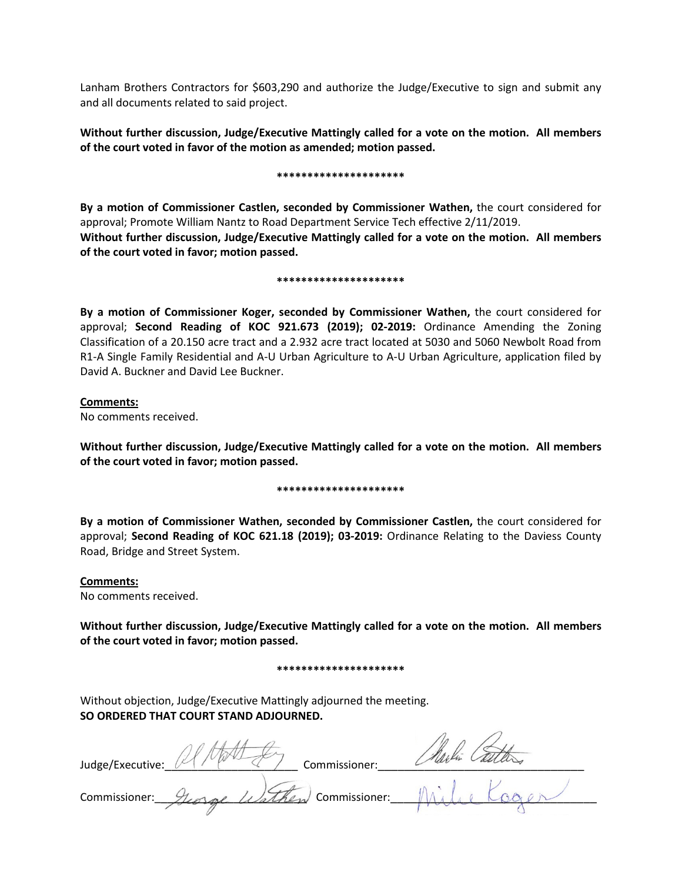Lanham Brothers Contractors for \$603,290 and authorize the Judge/Executive to sign and submit any and all documents related to said project.

**Without further discussion, Judge/Executive Mattingly called for a vote on the motion. All members of the court voted in favor of the motion as amended; motion passed.** 

#### **\*\*\*\*\*\*\*\*\*\*\*\*\*\*\*\*\*\*\*\*\***

**By a motion of Commissioner Castlen, seconded by Commissioner Wathen,** the court considered for approval; Promote William Nantz to Road Department Service Tech effective 2/11/2019. **Without further discussion, Judge/Executive Mattingly called for a vote on the motion. All members of the court voted in favor; motion passed.** 

#### **\*\*\*\*\*\*\*\*\*\*\*\*\*\*\*\*\*\*\*\*\***

**By a motion of Commissioner Koger, seconded by Commissioner Wathen,** the court considered for approval; **Second Reading of KOC 921.673 (2019); 02-2019:** Ordinance Amending the Zoning Classification of a 20.150 acre tract and a 2.932 acre tract located at 5030 and 5060 Newbolt Road from R1-A Single Family Residential and A-U Urban Agriculture to A-U Urban Agriculture, application filed by David A. Buckner and David Lee Buckner.

## **Comments:**

No comments received.

**Without further discussion, Judge/Executive Mattingly called for a vote on the motion. All members of the court voted in favor; motion passed.** 

## **\*\*\*\*\*\*\*\*\*\*\*\*\*\*\*\*\*\*\*\*\***

**By a motion of Commissioner Wathen, seconded by Commissioner Castlen,** the court considered for approval; **Second Reading of KOC 621.18 (2019); 03-2019:** Ordinance Relating to the Daviess County Road, Bridge and Street System.

# **Comments:**

No comments received.

**Without further discussion, Judge/Executive Mattingly called for a vote on the motion. All members of the court voted in favor; motion passed.** 

### **\*\*\*\*\*\*\*\*\*\*\*\*\*\*\*\*\*\*\*\*\***

Without objection, Judge/Executive Mattingly adjourned the meeting. **SO ORDERED THAT COURT STAND ADJOURNED.**

| Judge/Executive: | Commissioner:        |  |
|------------------|----------------------|--|
| Commissioner:    | Uathen Commissioner: |  |